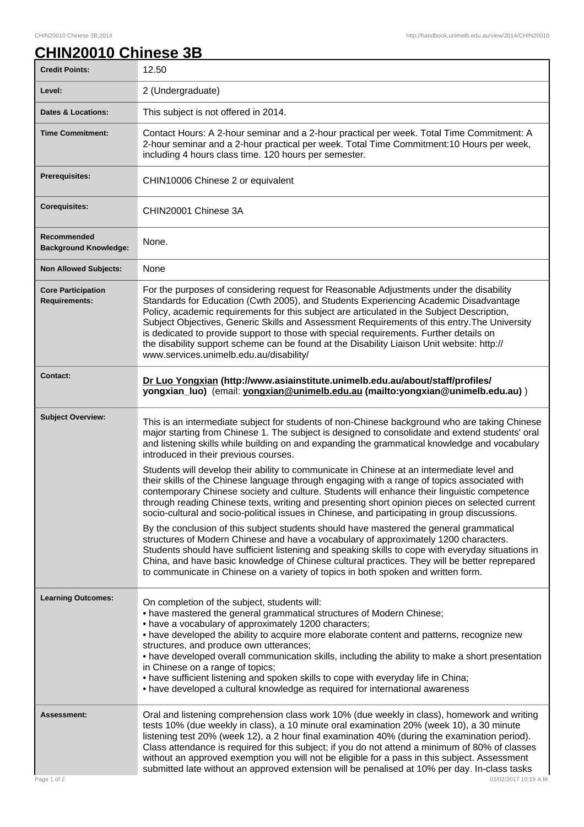ı

## **CHIN20010 Chinese 3B**

| <b>Credit Points:</b>                             | 12.50                                                                                                                                                                                                                                                                                                                                                                                                                                                                                                                                                                                                                                   |
|---------------------------------------------------|-----------------------------------------------------------------------------------------------------------------------------------------------------------------------------------------------------------------------------------------------------------------------------------------------------------------------------------------------------------------------------------------------------------------------------------------------------------------------------------------------------------------------------------------------------------------------------------------------------------------------------------------|
| Level:                                            | 2 (Undergraduate)                                                                                                                                                                                                                                                                                                                                                                                                                                                                                                                                                                                                                       |
| <b>Dates &amp; Locations:</b>                     | This subject is not offered in 2014.                                                                                                                                                                                                                                                                                                                                                                                                                                                                                                                                                                                                    |
| <b>Time Commitment:</b>                           | Contact Hours: A 2-hour seminar and a 2-hour practical per week. Total Time Commitment: A<br>2-hour seminar and a 2-hour practical per week. Total Time Commitment:10 Hours per week,<br>including 4 hours class time. 120 hours per semester.                                                                                                                                                                                                                                                                                                                                                                                          |
| <b>Prerequisites:</b>                             | CHIN10006 Chinese 2 or equivalent                                                                                                                                                                                                                                                                                                                                                                                                                                                                                                                                                                                                       |
| <b>Corequisites:</b>                              | CHIN20001 Chinese 3A                                                                                                                                                                                                                                                                                                                                                                                                                                                                                                                                                                                                                    |
| Recommended<br><b>Background Knowledge:</b>       | None.                                                                                                                                                                                                                                                                                                                                                                                                                                                                                                                                                                                                                                   |
| <b>Non Allowed Subjects:</b>                      | None                                                                                                                                                                                                                                                                                                                                                                                                                                                                                                                                                                                                                                    |
| <b>Core Participation</b><br><b>Requirements:</b> | For the purposes of considering request for Reasonable Adjustments under the disability<br>Standards for Education (Cwth 2005), and Students Experiencing Academic Disadvantage<br>Policy, academic requirements for this subject are articulated in the Subject Description,<br>Subject Objectives, Generic Skills and Assessment Requirements of this entry. The University<br>is dedicated to provide support to those with special requirements. Further details on<br>the disability support scheme can be found at the Disability Liaison Unit website: http://<br>www.services.unimelb.edu.au/disability/                        |
| <b>Contact:</b>                                   | Dr Luo Yongxian (http://www.asiainstitute.unimelb.edu.au/about/staff/profiles/<br>yongxian_luo) (email: yongxian@unimelb.edu.au (mailto:yongxian@unimelb.edu.au))                                                                                                                                                                                                                                                                                                                                                                                                                                                                       |
| <b>Subject Overview:</b>                          | This is an intermediate subject for students of non-Chinese background who are taking Chinese<br>major starting from Chinese 1. The subject is designed to consolidate and extend students' oral<br>and listening skills while building on and expanding the grammatical knowledge and vocabulary<br>introduced in their previous courses.                                                                                                                                                                                                                                                                                              |
|                                                   | Students will develop their ability to communicate in Chinese at an intermediate level and<br>their skills of the Chinese language through engaging with a range of topics associated with<br>contemporary Chinese society and culture. Students will enhance their linguistic competence<br>through reading Chinese texts, writing and presenting short opinion pieces on selected current<br>socio-cultural and socio-political issues in Chinese, and participating in group discussions.                                                                                                                                            |
|                                                   | By the conclusion of this subject students should have mastered the general grammatical<br>structures of Modern Chinese and have a vocabulary of approximately 1200 characters.<br>Students should have sufficient listening and speaking skills to cope with everyday situations in<br>China, and have basic knowledge of Chinese cultural practices. They will be better reprepared<br>to communicate in Chinese on a variety of topics in both spoken and written form.                                                                                                                                                              |
| <b>Learning Outcomes:</b>                         | On completion of the subject, students will:<br>• have mastered the general grammatical structures of Modern Chinese;<br>• have a vocabulary of approximately 1200 characters;<br>• have developed the ability to acquire more elaborate content and patterns, recognize new<br>structures, and produce own utterances;<br>• have developed overall communication skills, including the ability to make a short presentation<br>in Chinese on a range of topics;<br>• have sufficient listening and spoken skills to cope with everyday life in China;<br>• have developed a cultural knowledge as required for international awareness |
| <b>Assessment:</b><br>Page 1 of 2                 | Oral and listening comprehension class work 10% (due weekly in class), homework and writing<br>tests 10% (due weekly in class), a 10 minute oral examination 20% (week 10), a 30 minute<br>listening test 20% (week 12), a 2 hour final examination 40% (during the examination period).<br>Class attendance is required for this subject; if you do not attend a minimum of 80% of classes<br>without an approved exemption you will not be eligible for a pass in this subject. Assessment<br>submitted late without an approved extension will be penalised at 10% per day. In-class tasks<br>02/02/2017 10:19 A.M.                  |